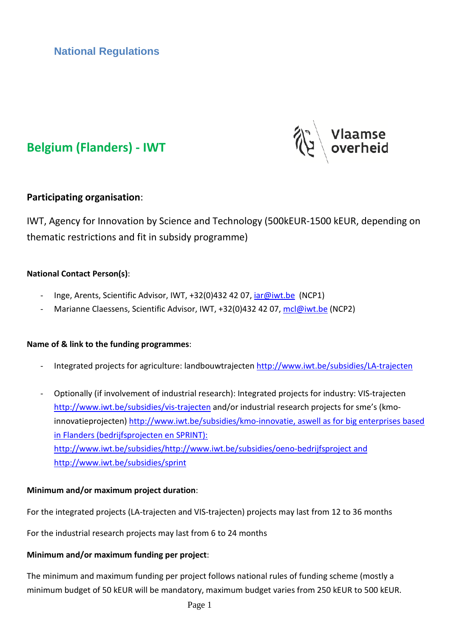**National Regulations**





## **Participating organisation**:

IWT, Agency for Innovation by Science and Technology (500kEUR-1500 kEUR, depending on thematic restrictions and fit in subsidy programme)

### **National Contact Person(s)**:

- Inge, Arents, Scientific Advisor, IWT, +32(0)432 42 07, [iar@iwt.be](mailto:iar@iwt.be) (NCP1)
- Marianne Claessens, Scientific Advisor, IWT, +32(0)432 42 07, [mcl@iwt.be](mailto:mcl@iwt.be) (NCP2)

### **Name of & link to the funding programmes**:

- Integrated projects for agriculture: landbouwtrajecten<http://www.iwt.be/subsidies/LA-trajecten>
- Optionally (if involvement of industrial research): Integrated projects for industry: VIS-trajecten <http://www.iwt.be/subsidies/vis-trajecten> and/or industrial research projects for sme's (kmoinnovatieprojecten) [http://www.iwt.be/subsidies/kmo-innovatie,](http://www.iwt.be/subsidies/kmo-innovatie) aswell as for big enterprises based in Flanders (bedrijfsprojecten en SPRINT): [http://www.iwt.be/subsidies/http://www.iwt.be/subsidies/oeno-bedrijfsproject](http://www.iwt.be/subsidies/http:/www.iwt.be/subsidies/oeno-bedrijfsproject) and http://www.iwt.be/subsidies/sprint

### **Minimum and/or maximum project duration**:

For the integrated projects (LA-trajecten and VIS-trajecten) projects may last from 12 to 36 months

For the industrial research projects may last from 6 to 24 months

### **Minimum and/or maximum funding per project**:

The minimum and maximum funding per project follows national rules of funding scheme (mostly a minimum budget of 50 kEUR will be mandatory, maximum budget varies from 250 kEUR to 500 kEUR.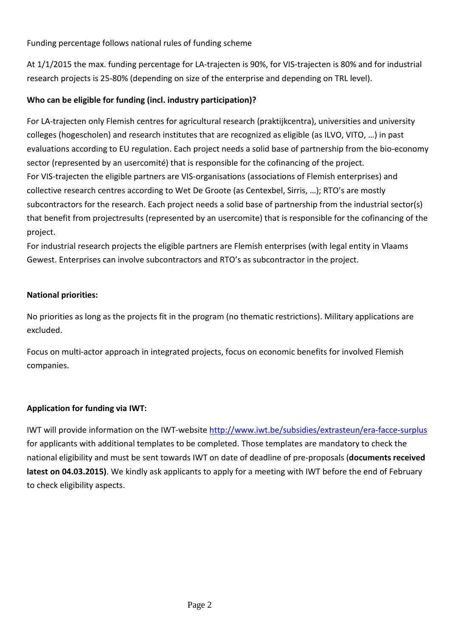Funding percentage follows national rules of funding scheme

At 1/1/2015 the max. funding percentage for LA-trajecten is 90%, for VIS-trajecten is 80% and for industrial research projects is 25-80% (depending on size of the enterprise and depending on TRL level).

## **Who can be eligible for funding (incl. industry participation)?**

For LA-trajecten only Flemish centres for agricultural research (praktijkcentra), universities and university colleges (hogescholen) and research institutes that are recognized as eligible (as ILVO, VITO, …) in past evaluations according to EU regulation. Each project needs a solid base of partnership from the bio-economy sector (represented by an usercomité) that is responsible for the cofinancing of the project. For VIS-trajecten the eligible partners are VIS-organisations (associations of Flemish enterprises) and collective research centres according to Wet De Groote (as Centexbel, Sirris, …); RTO's are mostly subcontractors for the research. Each project needs a solid base of partnership from the industrial sector(s) that benefit from projectresults (represented by an usercomite) that is responsible for the cofinancing of the project.

For industrial research projects the eligible partners are Flemish enterprises (with legal entity in Vlaams Gewest. Enterprises can involve subcontractors and RTO's as subcontractor in the project.

## **National priorities:**

No priorities as long as the projects fit in the program (no thematic restrictions). Military applications are excluded.

Focus on multi-actor approach in integrated projects, focus on economic benefits for involved Flemish companies.

## **Application for funding via IWT:**

IWT will provide information on the IWT-website<http://www.iwt.be/subsidies/extrasteun/era-facce-surplus> for applicants with additional templates to be completed. Those templates are mandatory to check the national eligibility and must be sent towards IWT on date of deadline of pre-proposals (**documents received latest on 04.03.2015)**. We kindly ask applicants to apply for a meeting with IWT before the end of February to check eligibility aspects.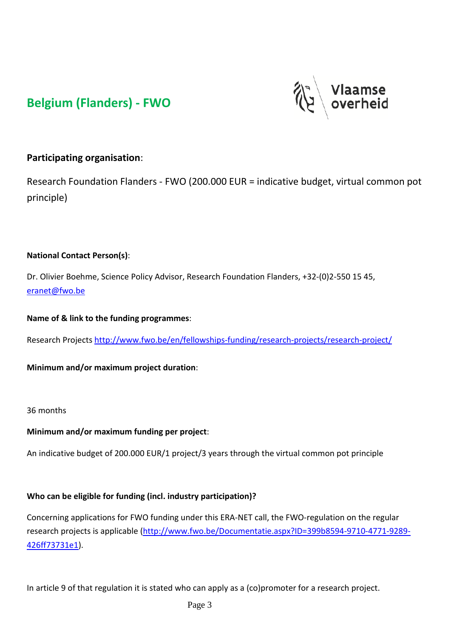# **Belgium (Flanders) - FWO**



# **Participating organisation**:

Research Foundation Flanders - FWO (200.000 EUR = indicative budget, virtual common pot principle)

### **National Contact Person(s)**:

Dr. Olivier Boehme, Science Policy Advisor, Research Foundation Flanders, +32-(0)2-550 15 45, [eranet@fwo.be](mailto:eranet@fwo.be)

**Name of & link to the funding programmes**:

Research Project[s http://www.fwo.be/en/fellowships-funding/research-projects/research-project/](http://www.fwo.be/en/fellowships-funding/research-projects/research-project/)

**Minimum and/or maximum project duration**:

### 36 months

### **Minimum and/or maximum funding per project**:

An indicative budget of 200.000 EUR/1 project/3 years through the virtual common pot principle

## **Who can be eligible for funding (incl. industry participation)?**

Concerning applications for FWO funding under this ERA-NET call, the FWO-regulation on the regular research projects is applicable [\(http://www.fwo.be/Documentatie.aspx?ID=399b8594-9710-4771-9289-](http://www.fwo.be/Documentatie.aspx?ID=399b8594-9710-4771-9289-426ff73731e1) [426ff73731e1\)](http://www.fwo.be/Documentatie.aspx?ID=399b8594-9710-4771-9289-426ff73731e1).

In article 9 of that regulation it is stated who can apply as a (co)promoter for a research project.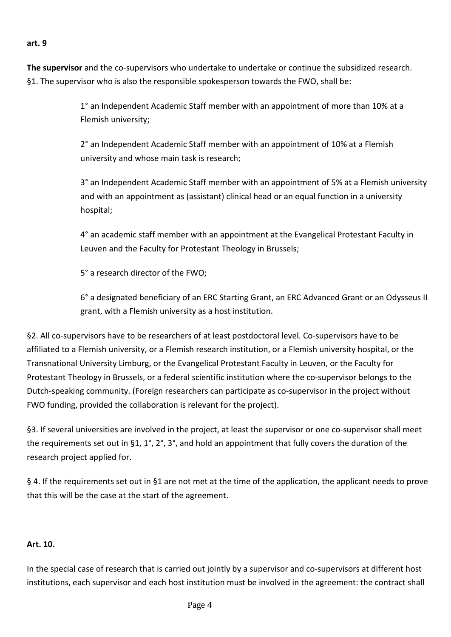#### **art. 9**

**The supervisor** and the co-supervisors who undertake to undertake or continue the subsidized research. §1. The supervisor who is also the responsible spokesperson towards the FWO, shall be:

> 1° an Independent Academic Staff member with an appointment of more than 10% at a Flemish university;

2° an Independent Academic Staff member with an appointment of 10% at a Flemish university and whose main task is research;

3° an Independent Academic Staff member with an appointment of 5% at a Flemish university and with an appointment as (assistant) clinical head or an equal function in a university hospital;

4° an academic staff member with an appointment at the Evangelical Protestant Faculty in Leuven and the Faculty for Protestant Theology in Brussels;

5° a research director of the FWO;

6° a designated beneficiary of an ERC Starting Grant, an ERC Advanced Grant or an Odysseus II grant, with a Flemish university as a host institution.

§2. All co-supervisors have to be researchers of at least postdoctoral level. Co-supervisors have to be affiliated to a Flemish university, or a Flemish research institution, or a Flemish university hospital, or the Transnational University Limburg, or the Evangelical Protestant Faculty in Leuven, or the Faculty for Protestant Theology in Brussels, or a federal scientific institution where the co-supervisor belongs to the Dutch-speaking community. (Foreign researchers can participate as co-supervisor in the project without FWO funding, provided the collaboration is relevant for the project).

§3. If several universities are involved in the project, at least the supervisor or one co-supervisor shall meet the requirements set out in §1, 1°, 2°, 3°, and hold an appointment that fully covers the duration of the research project applied for.

§ 4. If the requirements set out in §1 are not met at the time of the application, the applicant needs to prove that this will be the case at the start of the agreement.

### **Art. 10.**

In the special case of research that is carried out jointly by a supervisor and co-supervisors at different host institutions, each supervisor and each host institution must be involved in the agreement: the contract shall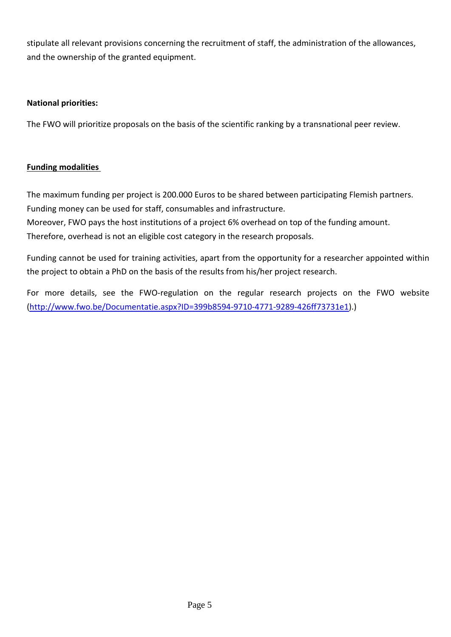stipulate all relevant provisions concerning the recruitment of staff, the administration of the allowances, and the ownership of the granted equipment.

### **National priorities:**

The FWO will prioritize proposals on the basis of the scientific ranking by a transnational peer review.

## **Funding modalities**

The maximum funding per project is 200.000 Euros to be shared between participating Flemish partners. Funding money can be used for staff, consumables and infrastructure.

Moreover, FWO pays the host institutions of a project 6% overhead on top of the funding amount.

Therefore, overhead is not an eligible cost category in the research proposals.

Funding cannot be used for training activities, apart from the opportunity for a researcher appointed within the project to obtain a PhD on the basis of the results from his/her project research.

For more details, see the FWO-regulation on the regular research projects on the FWO website [\(http://www.fwo.be/Documentatie.aspx?ID=399b8594-9710-4771-9289-426ff73731e1\)](http://www.fwo.be/Documentatie.aspx?ID=399b8594-9710-4771-9289-426ff73731e1).)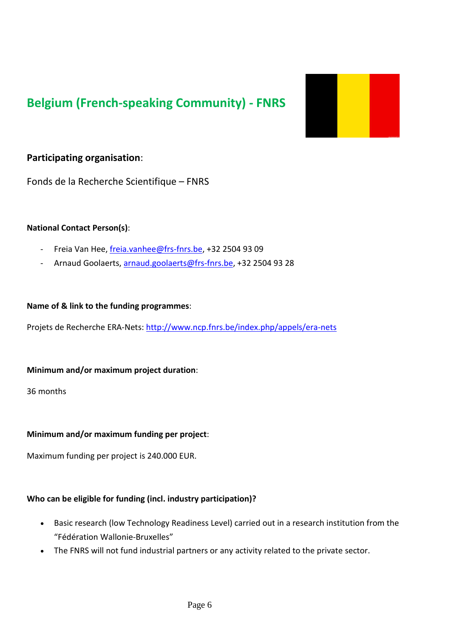# **Belgium (French-speaking Community) - FNRS**



## **Participating organisation**:

Fonds de la Recherche Scientifique – FNRS

### **National Contact Person(s)**:

- Freia Van Hee, [freia.vanhee@frs-fnrs.be,](mailto:freia.vanhee@frs-fnrs.be) +32 2504 93 09
- Arnaud Goolaerts, [arnaud.goolaerts@frs-fnrs.be,](mailto:arnaud.goolaerts@frs-fnrs.be) +32 2504 93 28

#### **Name of & link to the funding programmes**:

Projets de Recherche ERA-Nets:<http://www.ncp.fnrs.be/index.php/appels/era-nets>

### **Minimum and/or maximum project duration**:

36 months

### **Minimum and/or maximum funding per project**:

Maximum funding per project is 240.000 EUR.

### **Who can be eligible for funding (incl. industry participation)?**

- Basic research (low Technology Readiness Level) carried out in a research institution from the "Fédération Wallonie-Bruxelles"
- The FNRS will not fund industrial partners or any activity related to the private sector.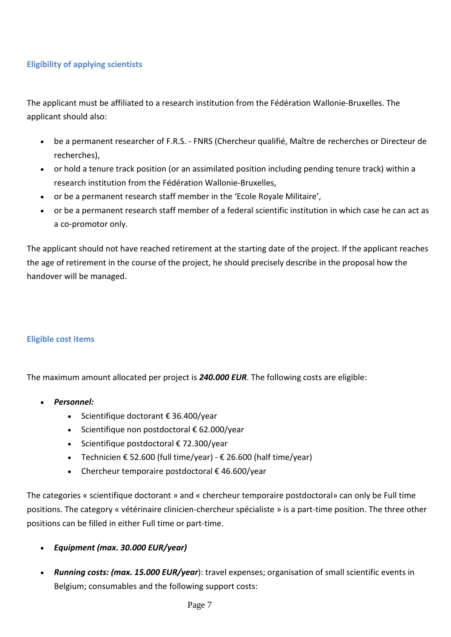### **Eligibility of applying scientists**

The applicant must be affiliated to a research institution from the Fédération Wallonie-Bruxelles. The applicant should also:

- be a permanent researcher of F.R.S. FNRS (Chercheur qualifié, Maître de recherches or Directeur de recherches),
- or hold a tenure track position (or an assimilated position including pending tenure track) within a research institution from the Fédération Wallonie-Bruxelles,
- or be a permanent research staff member in the 'Ecole Royale Militaire',
- or be a permanent research staff member of a federal scientific institution in which case he can act as a co-promotor only.

The applicant should not have reached retirement at the starting date of the project. If the applicant reaches the age of retirement in the course of the project, he should precisely describe in the proposal how the handover will be managed.

### **Eligible cost items**

The maximum amount allocated per project is *240.000 EUR*. The following costs are eligible:

- *Personnel:*
	- Scientifique doctorant € 36.400/year
	- Scientifique non postdoctoral € 62.000/year
	- Scientifique postdoctoral € 72.300/year
	- Technicien  $\epsilon$  52.600 (full time/year)  $\epsilon$  26.600 (half time/year)
	- Chercheur temporaire postdoctoral  $\epsilon$  46.600/year

The categories « scientifique doctorant » and « chercheur temporaire postdoctoral» can only be Full time positions. The category « vétérinaire clinicien-chercheur spécialiste » is a part-time position. The three other positions can be filled in either Full time or part-time.

- *Equipment (max. 30.000 EUR/year)*
- *Running costs: (max. 15.000 EUR/year*): travel expenses; organisation of small scientific events in Belgium; consumables and the following support costs: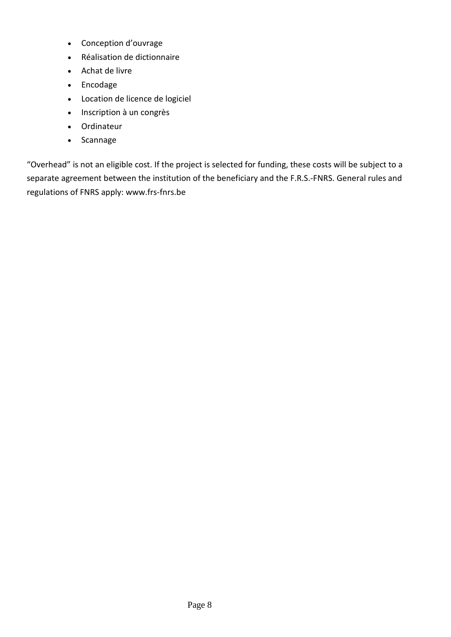- Conception d'ouvrage
- Réalisation de dictionnaire
- Achat de livre
- Encodage
- Location de licence de logiciel
- Inscription à un congrès
- Ordinateur
- Scannage

"Overhead" is not an eligible cost. If the project is selected for funding, these costs will be subject to a separate agreement between the institution of the beneficiary and the F.R.S.-FNRS. General rules and regulations of FNRS apply: www.frs-fnrs.be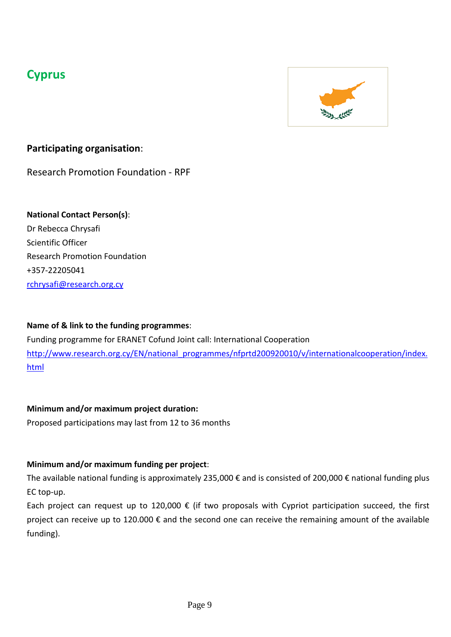# **Cyprus**



# **Participating organisation**:

Research Promotion Foundation - RPF

# **National Contact Person(s)**:

Dr Rebecca Chrysafi Scientific Officer Research Promotion Foundation +357-22205041 [rchrysafi@research.org.cy](mailto:rchrysafi@research.org.cy)

## **Name of & link to the funding programmes**:

Funding programme for ERANET Cofund Joint call: International Cooperation [http://www.research.org.cy/EN/national\\_programmes/nfprtd200920010/v/internationalcooperation/index.](http://www.research.org.cy/EN/national_programmes/nfprtd200920010/v/internationalcooperation/index.html) [html](http://www.research.org.cy/EN/national_programmes/nfprtd200920010/v/internationalcooperation/index.html)

## **Minimum and/or maximum project duration:**

Proposed participations may last from 12 to 36 months

## **Minimum and/or maximum funding per project**:

The available national funding is approximately 235,000 € and is consisted of 200,000 € national funding plus EC top-up.

Each project can request up to 120,000  $\epsilon$  (if two proposals with Cypriot participation succeed, the first project can receive up to 120.000 € and the second one can receive the remaining amount of the available funding).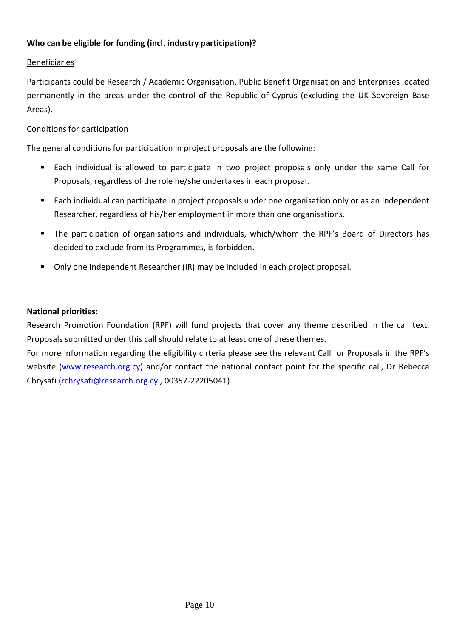### **Who can be eligible for funding (incl. industry participation)?**

### Beneficiaries

Participants could be Research / Academic Organisation, Public Benefit Organisation and Enterprises located permanently in the areas under the control of the Republic of Cyprus (excluding the UK Sovereign Base Areas).

### Conditions for participation

The general conditions for participation in project proposals are the following:

- Each individual is allowed to participate in two project proposals only under the same Call for Proposals, regardless of the role he/she undertakes in each proposal.
- Each individual can participate in project proposals under one organisation only or as an Independent Researcher, regardless of his/her employment in more than one organisations.
- The participation of organisations and individuals, which/whom the RPF's Board of Directors has decided to exclude from its Programmes, is forbidden.
- Only one Independent Researcher (IR) may be included in each project proposal.

### **National priorities:**

Research Promotion Foundation (RPF) will fund projects that cover any theme described in the call text. Proposals submitted under this call should relate to at least one of these themes.

For more information regarding the eligibility cirteria please see the relevant Call for Proposals in the RPF's website [\(www.research.org.cy\)](http://www.research.org.cy/) and/or contact the national contact point for the specific call, Dr Rebecca Chrysafi [\(rchrysafi@research.org.cy](mailto:rchrysafi@research.org.cy) , 00357-22205041).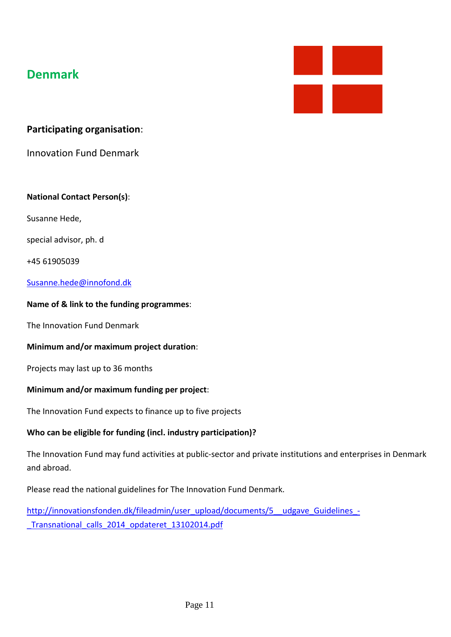# **Denmark**



## **Participating organisation**:

Innovation Fund Denmark

### **National Contact Person(s)**:

Susanne Hede,

special advisor, ph. d

+45 61905039

### [Susanne.hede@innofond.dk](mailto:Susanne.hede@innofond.dk)

#### **Name of & link to the funding programmes**:

The Innovation Fund Denmark

#### **Minimum and/or maximum project duration**:

Projects may last up to 36 months

### **Minimum and/or maximum funding per project**:

The Innovation Fund expects to finance up to five projects

### **Who can be eligible for funding (incl. industry participation)?**

The Innovation Fund may fund activities at public-sector and private institutions and enterprises in Denmark and abroad.

Please read the national guidelines for The Innovation Fund Denmark.

http://innovationsfonden.dk/fileadmin/user\_upload/documents/5\_udgave\_Guidelines\_-Transnational calls 2014 opdateret 13102014.pdf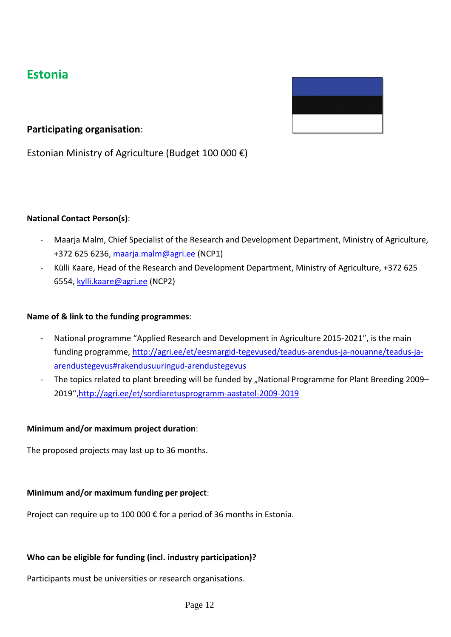# **Estonia**



## **Participating organisation**:

Estonian Ministry of Agriculture (Budget 100 000 €)

### **National Contact Person(s)**:

- Maarja Malm, Chief Specialist of the Research and Development Department, Ministry of Agriculture, +372 625 6236, [maarja.malm@agri.ee](mailto:maarja.malm@agri.ee) (NCP1)
- Külli Kaare, Head of the Research and Development Department, Ministry of Agriculture, +372 625 6554, [kylli.kaare@agri.ee](mailto:kylli.kaare@agri.ee) (NCP2)

### **Name of & link to the funding programmes**:

- National programme "Applied Research and Development in Agriculture 2015-2021", is the main funding programme[, http://agri.ee/et/eesmargid-tegevused/teadus-arendus-ja-nouanne/teadus-ja](http://agri.ee/et/eesmargid-tegevused/teadus-arendus-ja-nouanne/teadus-ja-arendustegevus%23rakendusuuringud-arendustegevus)[arendustegevus#rakendusuuringud-arendustegevus](http://agri.ee/et/eesmargid-tegevused/teadus-arendus-ja-nouanne/teadus-ja-arendustegevus%23rakendusuuringud-arendustegevus)
- The topics related to plant breeding will be funded by "National Programme for Plant Breeding 2009– 2019",http://agri.ee/et/sordiaretusprogramm-aastatel-2009-2019

### **Minimum and/or maximum project duration**:

The proposed projects may last up to 36 months.

### **Minimum and/or maximum funding per project**:

Project can require up to 100 000 € for a period of 36 months in Estonia.

## **Who can be eligible for funding (incl. industry participation)?**

Participants must be universities or research organisations.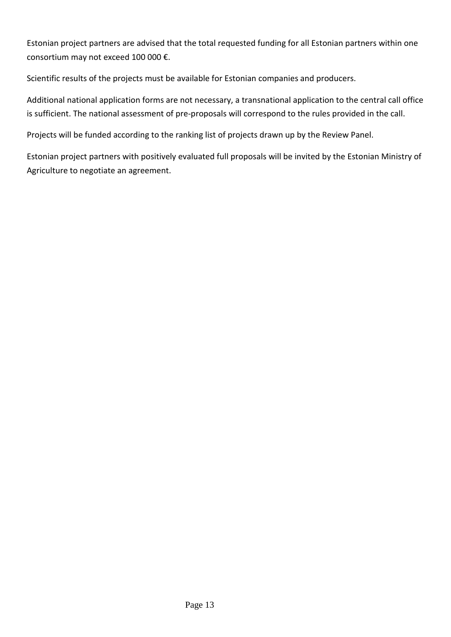Estonian project partners are advised that the total requested funding for all Estonian partners within one consortium may not exceed 100 000 €.

Scientific results of the projects must be available for Estonian companies and producers.

Additional national application forms are not necessary, a transnational application to the central call office is sufficient. The national assessment of pre-proposals will correspond to the rules provided in the call.

Projects will be funded according to the ranking list of projects drawn up by the Review Panel.

Estonian project partners with positively evaluated full proposals will be invited by the Estonian Ministry of Agriculture to negotiate an agreement.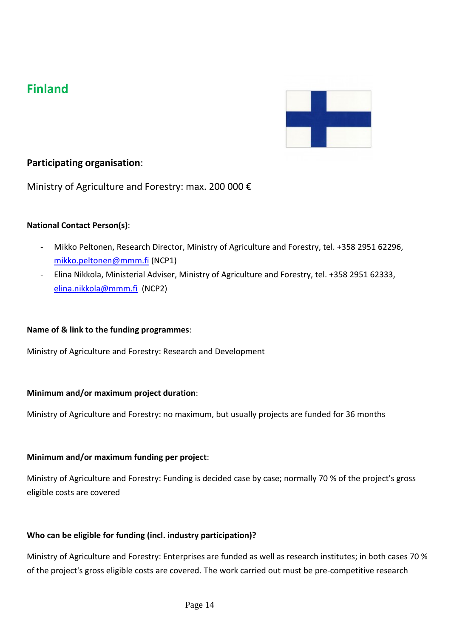# **Finland**



## **Participating organisation**:

Ministry of Agriculture and Forestry: max. 200 000 €

### **National Contact Person(s)**:

- Mikko Peltonen, Research Director, Ministry of Agriculture and Forestry, tel. +358 2951 62296, [mikko.peltonen@mmm.fi](mailto:mikko.peltonen@mmm.fi) (NCP1)
- Elina Nikkola, Ministerial Adviser, Ministry of Agriculture and Forestry, tel. +358 2951 62333, [elina.nikkola@mmm.fi](mailto:elina.nikkola@mmm.fi) (NCP2)

#### **Name of & link to the funding programmes**:

Ministry of Agriculture and Forestry: Research and Development

#### **Minimum and/or maximum project duration**:

Ministry of Agriculture and Forestry: no maximum, but usually projects are funded for 36 months

#### **Minimum and/or maximum funding per project**:

Ministry of Agriculture and Forestry: Funding is decided case by case; normally 70 % of the project's gross eligible costs are covered

#### **Who can be eligible for funding (incl. industry participation)?**

Ministry of Agriculture and Forestry: Enterprises are funded as well as research institutes; in both cases 70 % of the project's gross eligible costs are covered. The work carried out must be pre-competitive research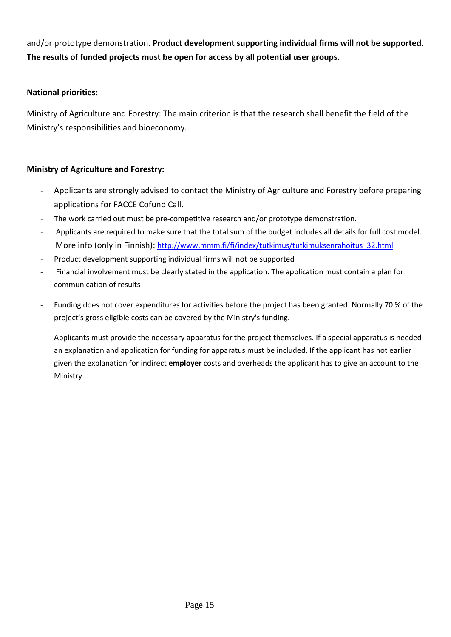and/or prototype demonstration. **Product development supporting individual firms will not be supported. The results of funded projects must be open for access by all potential user groups.**

### **National priorities:**

Ministry of Agriculture and Forestry: The main criterion is that the research shall benefit the field of the Ministry's responsibilities and bioeconomy.

### **Ministry of Agriculture and Forestry:**

- Applicants are strongly advised to contact the Ministry of Agriculture and Forestry before preparing applications for FACCE Cofund Call.
- The work carried out must be pre-competitive research and/or prototype demonstration.
- Applicants are required to make sure that the total sum of the budget includes all details for full cost model. More info (only in Finnish): [http://www.mmm.fi/fi/index/tutkimus/tutkimuksenrahoitus\\_32.html](http://www.mmm.fi/fi/index/tutkimus/tutkimuksenrahoitus_32.html)
- Product development supporting individual firms will not be supported
- Financial involvement must be clearly stated in the application. The application must contain a plan for communication of results
- Funding does not cover expenditures for activities before the project has been granted. Normally 70 % of the project's gross eligible costs can be covered by the Ministry's funding.
- Applicants must provide the necessary apparatus for the project themselves. If a special apparatus is needed an explanation and application for funding for apparatus must be included. If the applicant has not earlier given the explanation for indirect **employer** costs and overheads the applicant has to give an account to the Ministry.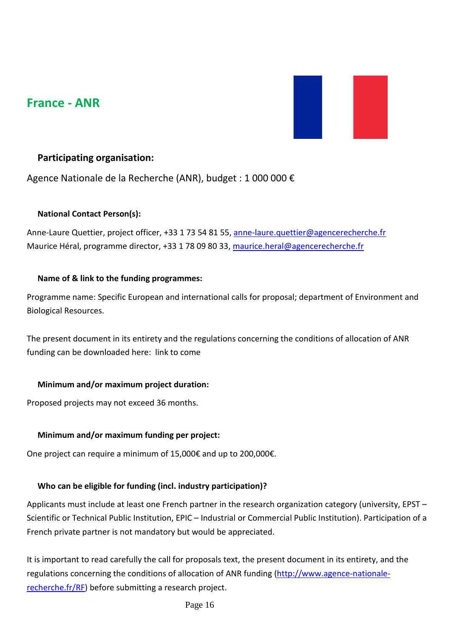# **France - ANR**



## **Participating organisation:**

Agence Nationale de la Recherche (ANR), budget : 1 000 000 €

### **National Contact Person(s):**

Anne-Laure Quettier, project officer, +33 1 73 54 81 55, [anne-laure.quettier@agencerecherche.fr](mailto:anne-laure.quettier@agencerecherche.fr) Maurice Héral, programme director, +33 1 78 09 80 33, [maurice.heral@agencerecherche.fr](mailto:maurice.heral@agencerecherche.fr)

### **Name of & link to the funding programmes:**

Programme name: Specific European and international calls for proposal; department of Environment and Biological Resources.

The present document in its entirety and the regulations concerning the conditions of allocation of ANR funding can be downloaded here: link to come

### **Minimum and/or maximum project duration:**

Proposed projects may not exceed 36 months.

## **Minimum and/or maximum funding per project:**

One project can require a minimum of 15,000€ and up to 200,000€.

## **Who can be eligible for funding (incl. industry participation)?**

Applicants must include at least one French partner in the research organization category (university, EPST – Scientific or Technical Public Institution, EPIC – Industrial or Commercial Public Institution). Participation of a French private partner is not mandatory but would be appreciated.

It is important to read carefully the call for proposals text, the present document in its entirety, and the regulations concerning the conditions of allocation of ANR funding [\(http://www.agence-nationale](http://www.agence-nationale-recherche.fr/RF)[recherche.fr/RF\)](http://www.agence-nationale-recherche.fr/RF) before submitting a research project.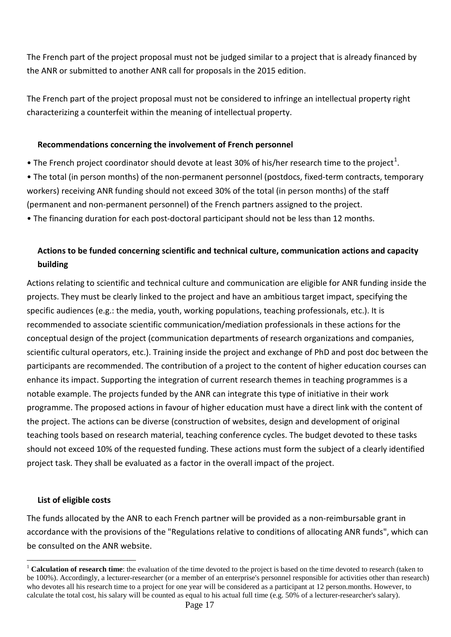The French part of the project proposal must not be judged similar to a project that is already financed by the ANR or submitted to another ANR call for proposals in the 2015 edition.

The French part of the project proposal must not be considered to infringe an intellectual property right characterizing a counterfeit within the meaning of intellectual property.

### **Recommendations concerning the involvement of French personnel**

- The French project coordinator should devote at least 30% of his/her research time to the project<sup>[1](#page-16-0)</sup>.
- The total (in person months) of the non-permanent personnel (postdocs, fixed-term contracts, temporary workers) receiving ANR funding should not exceed 30% of the total (in person months) of the staff (permanent and non-permanent personnel) of the French partners assigned to the project.
- The financing duration for each post-doctoral participant should not be less than 12 months.

# **Actions to be funded concerning scientific and technical culture, communication actions and capacity building**

Actions relating to scientific and technical culture and communication are eligible for ANR funding inside the projects. They must be clearly linked to the project and have an ambitious target impact, specifying the specific audiences (e.g.: the media, youth, working populations, teaching professionals, etc.). It is recommended to associate scientific communication/mediation professionals in these actions for the conceptual design of the project (communication departments of research organizations and companies, scientific cultural operators, etc.). Training inside the project and exchange of PhD and post doc between the participants are recommended. The contribution of a project to the content of higher education courses can enhance its impact. Supporting the integration of current research themes in teaching programmes is a notable example. The projects funded by the ANR can integrate this type of initiative in their work programme. The proposed actions in favour of higher education must have a direct link with the content of the project. The actions can be diverse (construction of websites, design and development of original teaching tools based on research material, teaching conference cycles. The budget devoted to these tasks should not exceed 10% of the requested funding. These actions must form the subject of a clearly identified project task. They shall be evaluated as a factor in the overall impact of the project.

### **List of eligible costs**

The funds allocated by the ANR to each French partner will be provided as a non-reimbursable grant in accordance with the provisions of the "Regulations relative to conditions of allocating ANR funds", which can be consulted on the ANR website.

<span id="page-16-0"></span><sup>&</sup>lt;sup>1</sup> **Calculation of research time**: the evaluation of the time devoted to the project is based on the time devoted to research (taken to be 100%). Accordingly, a lecturer-researcher (or a member of an enterprise's personnel responsible for activities other than research) who devotes all his research time to a project for one year will be considered as a participant at 12 person.months. However, to calculate the total cost, his salary will be counted as equal to his actual full time (e.g. 50% of a lecturer-researcher's salary).  $\overline{a}$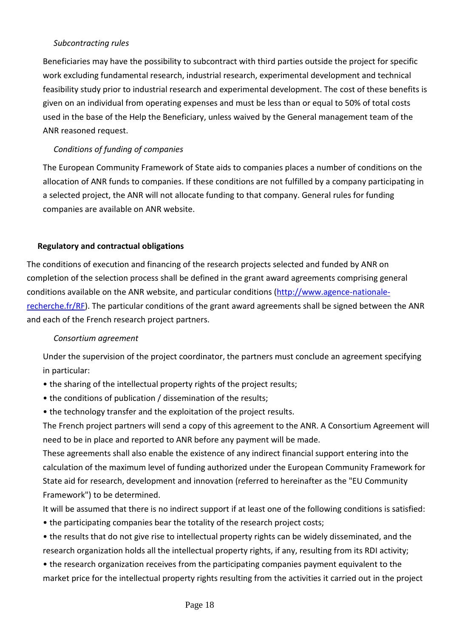### *Subcontracting rules*

Beneficiaries may have the possibility to subcontract with third parties outside the project for specific work excluding fundamental research, industrial research, experimental development and technical feasibility study prior to industrial research and experimental development. The cost of these benefits is given on an individual from operating expenses and must be less than or equal to 50% of total costs used in the base of the Help the Beneficiary, unless waived by the General management team of the ANR reasoned request.

### *Conditions of funding of companies*

The European Community Framework of State aids to companies places a number of conditions on the allocation of ANR funds to companies. If these conditions are not fulfilled by a company participating in a selected project, the ANR will not allocate funding to that company. General rules for funding companies are available on ANR website.

### **Regulatory and contractual obligations**

The conditions of execution and financing of the research projects selected and funded by ANR on completion of the selection process shall be defined in the grant award agreements comprising general conditions available on the ANR website, and particular conditions [\(http://www.agence-nationale](http://www.agence-nationale-recherche.fr/RF)[recherche.fr/RF\)](http://www.agence-nationale-recherche.fr/RF). The particular conditions of the grant award agreements shall be signed between the ANR and each of the French research project partners.

#### *Consortium agreement*

Under the supervision of the project coordinator, the partners must conclude an agreement specifying in particular:

- the sharing of the intellectual property rights of the project results;
- the conditions of publication / dissemination of the results;
- the technology transfer and the exploitation of the project results.

The French project partners will send a copy of this agreement to the ANR. A Consortium Agreement will need to be in place and reported to ANR before any payment will be made.

These agreements shall also enable the existence of any indirect financial support entering into the calculation of the maximum level of funding authorized under the European Community Framework for State aid for research, development and innovation (referred to hereinafter as the "EU Community Framework") to be determined.

It will be assumed that there is no indirect support if at least one of the following conditions is satisfied:

• the participating companies bear the totality of the research project costs;

• the results that do not give rise to intellectual property rights can be widely disseminated, and the research organization holds all the intellectual property rights, if any, resulting from its RDI activity;

• the research organization receives from the participating companies payment equivalent to the market price for the intellectual property rights resulting from the activities it carried out in the project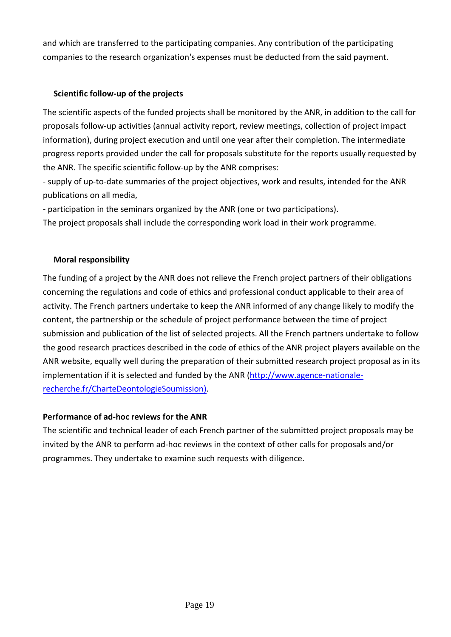and which are transferred to the participating companies. Any contribution of the participating companies to the research organization's expenses must be deducted from the said payment.

## **Scientific follow-up of the projects**

The scientific aspects of the funded projects shall be monitored by the ANR, in addition to the call for proposals follow-up activities (annual activity report, review meetings, collection of project impact information), during project execution and until one year after their completion. The intermediate progress reports provided under the call for proposals substitute for the reports usually requested by the ANR. The specific scientific follow-up by the ANR comprises:

- supply of up-to-date summaries of the project objectives, work and results, intended for the ANR publications on all media,

- participation in the seminars organized by the ANR (one or two participations).

The project proposals shall include the corresponding work load in their work programme.

### **Moral responsibility**

The funding of a project by the ANR does not relieve the French project partners of their obligations concerning the regulations and code of ethics and professional conduct applicable to their area of activity. The French partners undertake to keep the ANR informed of any change likely to modify the content, the partnership or the schedule of project performance between the time of project submission and publication of the list of selected projects. All the French partners undertake to follow the good research practices described in the code of ethics of the ANR project players available on the ANR website, equally well during the preparation of their submitted research project proposal as in its implementation if it is selected and funded by the ANR [\(http://www.agence-nationale](http://www.agence-nationale-recherche.fr/CharteDeontologieSoumission)[recherche.fr/CharteDeontologieSoumission\)](http://www.agence-nationale-recherche.fr/CharteDeontologieSoumission).

## **Performance of ad-hoc reviews for the ANR**

The scientific and technical leader of each French partner of the submitted project proposals may be invited by the ANR to perform ad-hoc reviews in the context of other calls for proposals and/or programmes. They undertake to examine such requests with diligence.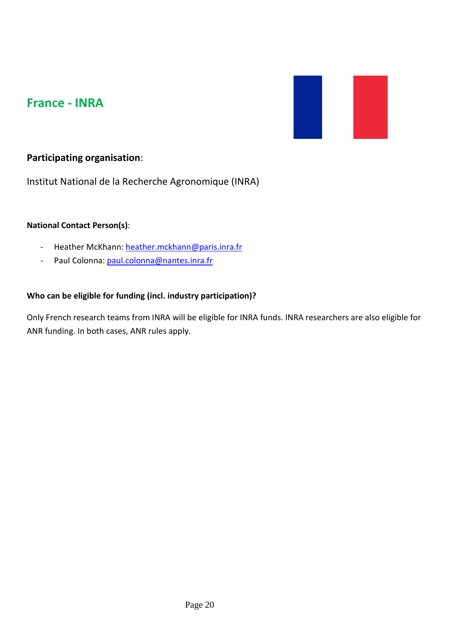# **France - INRA**



# **Participating organisation**:

Institut National de la Recherche Agronomique (INRA)

### **National Contact Person(s)**:

- Heather McKhann: [heather.mckhann@paris.inra.fr](mailto:heather.mckhann@paris.inra.fr)
- Paul Colonna: [paul.colonna@nantes.inra.fr](mailto:paul.colonna@nantes.inra.fr)

### **Who can be eligible for funding (incl. industry participation)?**

Only French research teams from INRA will be eligible for INRA funds. INRA researchers are also eligible for ANR funding. In both cases, ANR rules apply.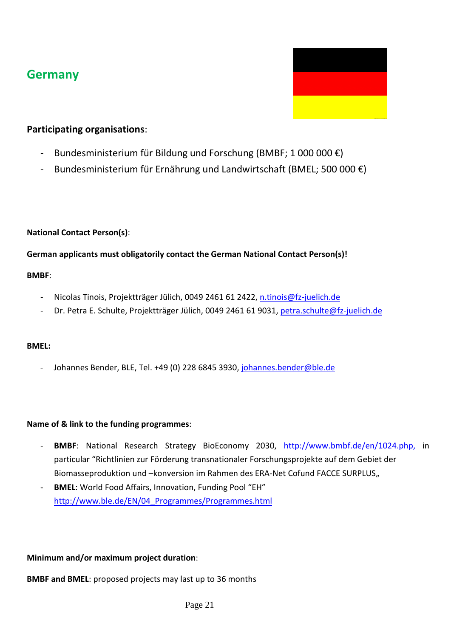# **Germany**



# **Participating organisations**:

- Bundesministerium für Bildung und Forschung (BMBF; 1 000 000  $\epsilon$ )
- Bundesministerium für Ernährung und Landwirtschaft (BMEL; 500 000  $\epsilon$ )

## **National Contact Person(s)**:

## **German applicants must obligatorily contact the German National Contact Person(s)!**

### **BMBF**:

- Nicolas Tinois, Projektträger Jülich, 0049 2461 61 2422, [n.tinois@fz-juelich.de](mailto:n.tinois@fz-juelich.de)
- Dr. Petra E. Schulte, Projektträger Jülich, 0049 2461 61 9031, [petra.schulte@fz-juelich.de](mailto:petra.schulte@fz-juelich.de)

## **BMEL:**

Johannes Bender, BLE, Tel. +49 (0) 228 6845 3930, [johannes.bender@ble.de](mailto:johannes.bender@ble.de)

## **Name of & link to the funding programmes**:

- **BMBF**: National Research Strategy BioEconomy 2030, [http://www.bmbf.de/en/1024.php,](http://www.bmbf.de/en/1024.php) in particular "Richtlinien zur Förderung transnationaler Forschungsprojekte auf dem Gebiet der Biomasseproduktion und –konversion im Rahmen des ERA-Net Cofund FACCE SURPLUS,
- **BMEL**: World Food Affairs, Innovation, Funding Pool "EH" [http://www.ble.de/EN/04\\_Programmes/Programmes.html](http://www.ble.de/EN/04_Programmes/Programmes.html)

## **Minimum and/or maximum project duration**:

**BMBF and BMEL**: proposed projects may last up to 36 months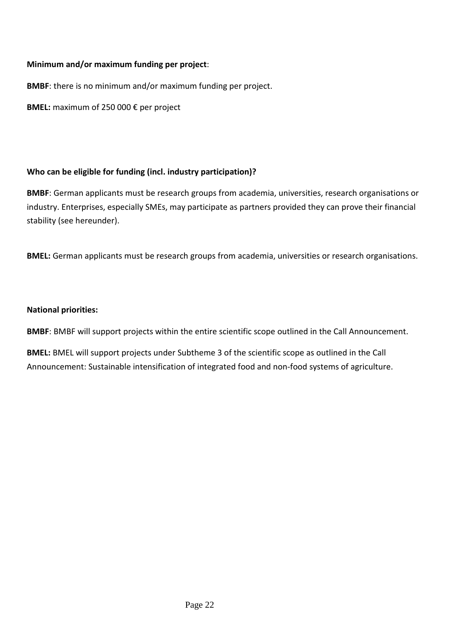### **Minimum and/or maximum funding per project**:

**BMBF**: there is no minimum and/or maximum funding per project.

**BMEL:** maximum of 250 000 € per project

### **Who can be eligible for funding (incl. industry participation)?**

**BMBF**: German applicants must be research groups from academia, universities, research organisations or industry. Enterprises, especially SMEs, may participate as partners provided they can prove their financial stability (see hereunder).

**BMEL:** German applicants must be research groups from academia, universities or research organisations.

### **National priorities:**

**BMBF**: BMBF will support projects within the entire scientific scope outlined in the Call Announcement.

**BMEL:** BMEL will support projects under Subtheme 3 of the scientific scope as outlined in the Call Announcement: Sustainable intensification of integrated food and non-food systems of agriculture.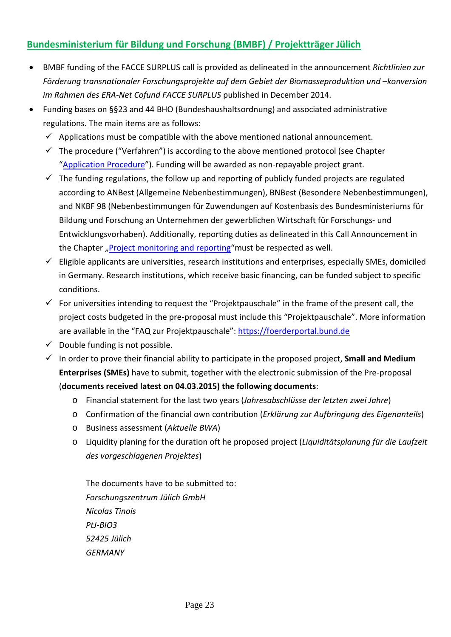# **Bundesministerium für Bildung und Forschung (BMBF) / Projektträger Jülich**

- BMBF funding of the FACCE SURPLUS call is provided as delineated in the announcement *Richtlinien zur Förderung transnationaler Forschungsprojekte auf dem Gebiet der Biomasseproduktion und –konversion im Rahmen des ERA-Net Cofund FACCE SURPLUS* published in December 2014.
- Funding bases on §§23 and 44 BHO (Bundeshaushaltsordnung) and associated administrative regulations. The main items are as follows:
	- $\checkmark$  Applications must be compatible with the above mentioned national announcement.
	- $\checkmark$  The procedure ("Verfahren") is according to the above mentioned protocol (see Chapter "Application Procedure"). Funding will be awarded as non-repayable project grant.
	- $\checkmark$  The funding regulations, the follow up and reporting of publicly funded projects are regulated according to ANBest (Allgemeine Nebenbestimmungen), BNBest (Besondere Nebenbestimmungen), and NKBF 98 (Nebenbestimmungen für Zuwendungen auf Kostenbasis des Bundesministeriums für Bildung und Forschung an Unternehmen der gewerblichen Wirtschaft für Forschungs- und Entwicklungsvorhaben). Additionally, reporting duties as delineated in this Call Announcement in the Chapter "Project monitoring and reporting"must be respected as well.
	- $\checkmark$  Eligible applicants are universities, research institutions and enterprises, especially SMEs, domiciled in Germany. Research institutions, which receive basic financing, can be funded subject to specific conditions.
	- $\checkmark$  For universities intending to request the "Projektpauschale" in the frame of the present call, the project costs budgeted in the pre-proposal must include this "Projektpauschale". More information are available in the "FAQ zur Projektpauschale": [https://foerderportal.bund.de](https://foerderportal.bund.de/)
	- $\checkmark$  Double funding is not possible.
	- $\checkmark$  In order to prove their financial ability to participate in the proposed project, **Small and Medium Enterprises (SMEs)** have to submit, together with the electronic submission of the Pre-proposal (**documents received latest on 04.03.2015) the following documents**:
		- o Financial statement for the last two years (*Jahresabschlüsse der letzten zwei Jahre*)
		- o Confirmation of the financial own contribution (*Erklärung zur Aufbringung des Eigenanteils*)
		- o Business assessment (*Aktuelle BWA*)
		- o Liquidity planing for the duration oft he proposed project (*Liquiditätsplanung für die Laufzeit des vorgeschlagenen Projektes*)

The documents have to be submitted to: *Forschungszentrum Jülich GmbH Nicolas Tinois PtJ-BIO3 52425 Jülich GERMANY*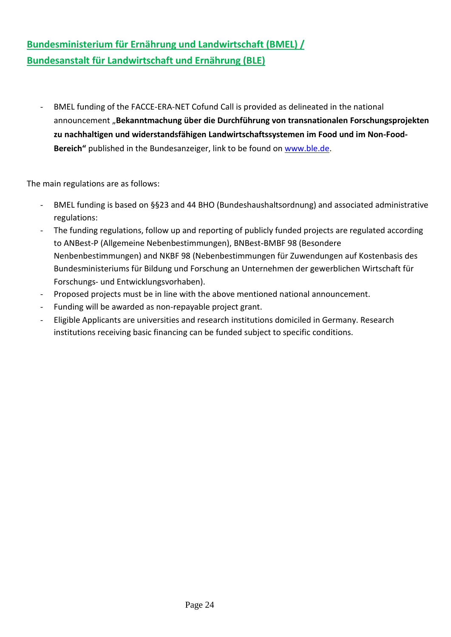# **Bundesministerium für Ernährung und Landwirtschaft (BMEL) / Bundesanstalt für Landwirtschaft und Ernährung (BLE)**

- BMEL funding of the FACCE-ERA-NET Cofund Call is provided as delineated in the national announcement "Bekanntmachung über die Durchführung von transnationalen Forschungsprojekten **zu nachhaltigen und widerstandsfähigen Landwirtschaftssystemen im Food und im Non-Food-Bereich"** published in the Bundesanzeiger, link to be found on [www.ble.de.](http://www.ble.de/)

The main regulations are as follows:

- BMEL funding is based on §§23 and 44 BHO (Bundeshaushaltsordnung) and associated administrative regulations:
- The funding regulations, follow up and reporting of publicly funded projects are regulated according to ANBest-P (Allgemeine Nebenbestimmungen), BNBest-BMBF 98 (Besondere Nenbenbestimmungen) and NKBF 98 (Nebenbestimmungen für Zuwendungen auf Kostenbasis des Bundesministeriums für Bildung und Forschung an Unternehmen der gewerblichen Wirtschaft für Forschungs- und Entwicklungsvorhaben).
- Proposed projects must be in line with the above mentioned national announcement.
- Funding will be awarded as non-repayable project grant.
- Eligible Applicants are universities and research institutions domiciled in Germany. Research institutions receiving basic financing can be funded subject to specific conditions.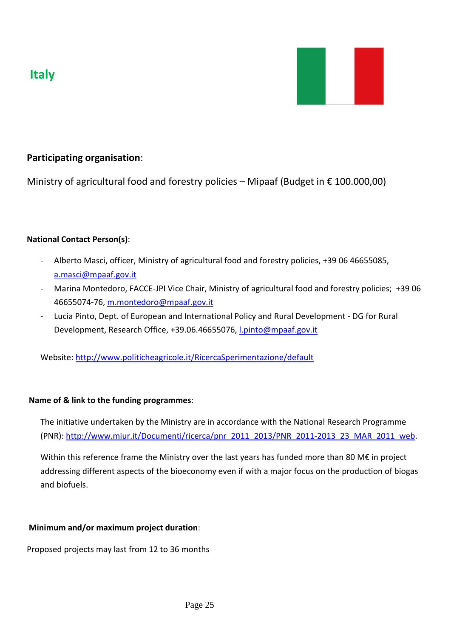



# **Participating organisation**:

Ministry of agricultural food and forestry policies – Mipaaf (Budget in  $\epsilon$  100.000,00)

### **National Contact Person(s)**:

- Alberto Masci, officer, Ministry of agricultural food and forestry policies, +39 06 46655085, a.masci@mpaaf.gov.it
- Marina Montedoro, FACCE-JPI Vice Chair, Ministry of agricultural food and forestry policies; +39 06 46655074-76, m.montedoro@mpaaf.gov.it
- Lucia Pinto, Dept. of European and International Policy and Rural Development DG for Rural Development, Research Office, +39.06.46655076, [l.pinto@mpaaf.gov.it](mailto:l.pinto@mpaaf.gov.it)

Website:<http://www.politicheagricole.it/RicercaSperimentazione/default>

### **Name of & link to the funding programmes**:

The initiative undertaken by the Ministry are in accordance with the National Research Programme (PNR): [http://www.miur.it/Documenti/ricerca/pnr\\_2011\\_2013/PNR\\_2011-2013\\_23\\_MAR\\_2011\\_web.](http://www.miur.it/Documenti/ricerca/pnr_2011_2013/PNR_2011-2013_23_MAR_2011_web)

Within this reference frame the Ministry over the last years has funded more than 80 M€ in project addressing different aspects of the bioeconomy even if with a major focus on the production of biogas and biofuels.

## **Minimum and/or maximum project duration**:

Proposed projects may last from 12 to 36 months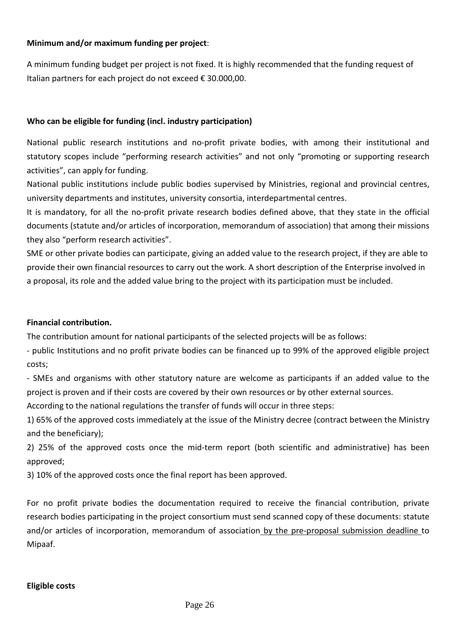### **Minimum and/or maximum funding per project**:

A minimum funding budget per project is not fixed. It is highly recommended that the funding request of Italian partners for each project do not exceed € 30.000,00.

### **Who can be eligible for funding (incl. industry participation)**

National public research institutions and no-profit private bodies, with among their institutional and statutory scopes include "performing research activities" and not only "promoting or supporting research activities", can apply for funding.

National public institutions include public bodies supervised by Ministries, regional and provincial centres, university departments and institutes, university consortia, interdepartmental centres.

It is mandatory, for all the no-profit private research bodies defined above, that they state in the official documents (statute and/or articles of incorporation, memorandum of association) that among their missions they also "perform research activities".

SME or other private bodies can participate, giving an added value to the research project, if they are able to provide their own financial resources to carry out the work. A short description of the Enterprise involved in a proposal, its role and the added value bring to the project with its participation must be included.

### **Financial contribution.**

The contribution amount for national participants of the selected projects will be as follows:

- public Institutions and no profit private bodies can be financed up to 99% of the approved eligible project costs;

- SMEs and organisms with other statutory nature are welcome as participants if an added value to the project is proven and if their costs are covered by their own resources or by other external sources.

According to the national regulations the transfer of funds will occur in three steps:

1) 65% of the approved costs immediately at the issue of the Ministry decree (contract between the Ministry and the beneficiary);

2) 25% of the approved costs once the mid-term report (both scientific and administrative) has been approved;

3) 10% of the approved costs once the final report has been approved.

For no profit private bodies the documentation required to receive the financial contribution, private research bodies participating in the project consortium must send scanned copy of these documents: statute and/or articles of incorporation, memorandum of association by the pre-proposal submission deadline to Mipaaf.

### **Eligible costs**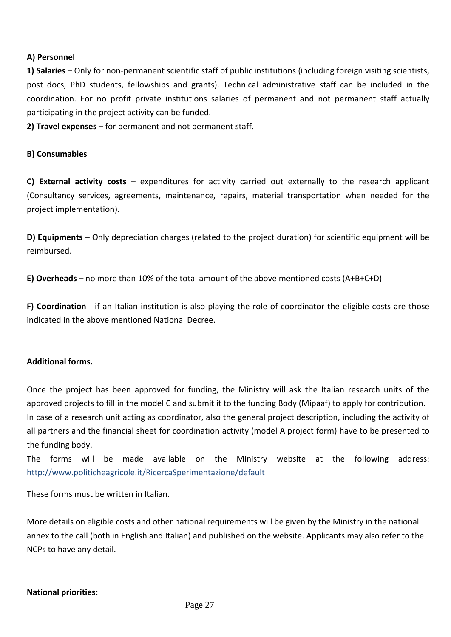### **A) Personnel**

**1) Salaries** – Only for non-permanent scientific staff of public institutions (including foreign visiting scientists, post docs, PhD students, fellowships and grants). Technical administrative staff can be included in the coordination. For no profit private institutions salaries of permanent and not permanent staff actually participating in the project activity can be funded.

**2) Travel expenses** – for permanent and not permanent staff.

#### **B) Consumables**

**C) External activity costs** – expenditures for activity carried out externally to the research applicant (Consultancy services, agreements, maintenance, repairs, material transportation when needed for the project implementation).

**D) Equipments** – Only depreciation charges (related to the project duration) for scientific equipment will be reimbursed.

**E) Overheads** – no more than 10% of the total amount of the above mentioned costs (A+B+C+D)

**F) Coordination** - if an Italian institution is also playing the role of coordinator the eligible costs are those indicated in the above mentioned National Decree.

### **Additional forms.**

Once the project has been approved for funding, the Ministry will ask the Italian research units of the approved projects to fill in the model C and submit it to the funding Body (Mipaaf) to apply for contribution. In case of a research unit acting as coordinator, also the general project description, including the activity of all partners and the financial sheet for coordination activity (model A project form) have to be presented to the funding body.

The forms will be made available on the Ministry website at the following address: <http://www.politicheagricole.it/RicercaSperimentazione/default>

These forms must be written in Italian.

More details on eligible costs and other national requirements will be given by the Ministry in the national annex to the call (both in English and Italian) and published on the website. Applicants may also refer to the NCPs to have any detail.

#### **National priorities:**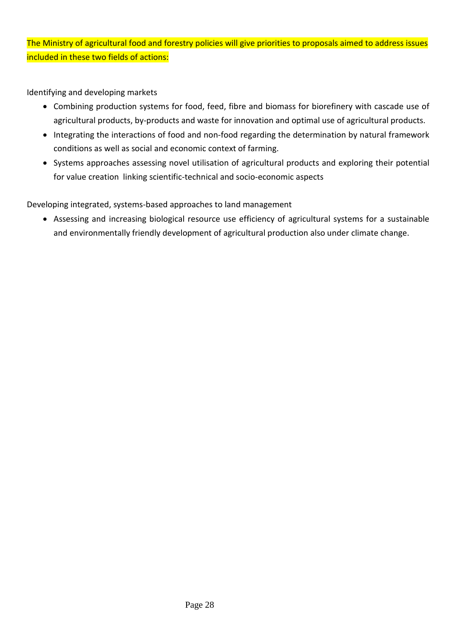The Ministry of agricultural food and forestry policies will give priorities to proposals aimed to address issues included in these two fields of actions:

Identifying and developing markets

- Combining production systems for food, feed, fibre and biomass for biorefinery with cascade use of agricultural products, by-products and waste for innovation and optimal use of agricultural products.
- Integrating the interactions of food and non-food regarding the determination by natural framework conditions as well as social and economic context of farming.
- Systems approaches assessing novel utilisation of agricultural products and exploring their potential for value creation linking scientific-technical and socio-economic aspects

Developing integrated, systems-based approaches to land management

• Assessing and increasing biological resource use efficiency of agricultural systems for a sustainable and environmentally friendly development of agricultural production also under climate change.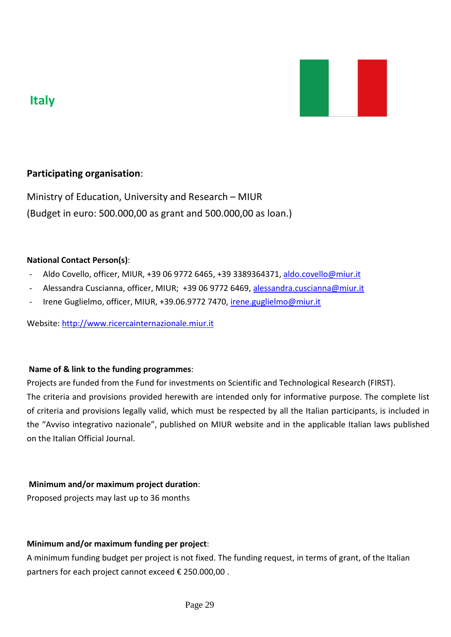



# **Participating organisation**:

Ministry of Education, University and Research – MIUR (Budget in euro: 500.000,00 as grant and 500.000,00 as loan.)

### **National Contact Person(s)**:

- Aldo Covello, officer, MIUR, +39 06 9772 6465, +39 3389364371, [aldo.covello@miur.it](mailto:aldo.covello@miur.it)
- Alessandra Cuscianna, officer, MIUR; +39 06 9772 6469, alessandra.cuscianna@miur.it
- Irene Guglielmo, officer, MIUR, +39.06.9772 7470, [irene.guglielmo@miur.it](mailto:irene.guglielmo@miur.it)

Website: [http://www.ricercainternazionale.miur.it](http://www.ricercainternazionale.miur.it/)

### **Name of & link to the funding programmes**:

Projects are funded from the Fund for investments on Scientific and Technological Research (FIRST). The criteria and provisions provided herewith are intended only for informative purpose. The complete list of criteria and provisions legally valid, which must be respected by all the Italian participants, is included in the "Avviso integrativo nazionale", published on MIUR website and in the applicable Italian laws published on the Italian Official Journal.

### **Minimum and/or maximum project duration**:

Proposed projects may last up to 36 months

### **Minimum and/or maximum funding per project**:

A minimum funding budget per project is not fixed. The funding request, in terms of grant, of the Italian partners for each project cannot exceed € 250.000,00 .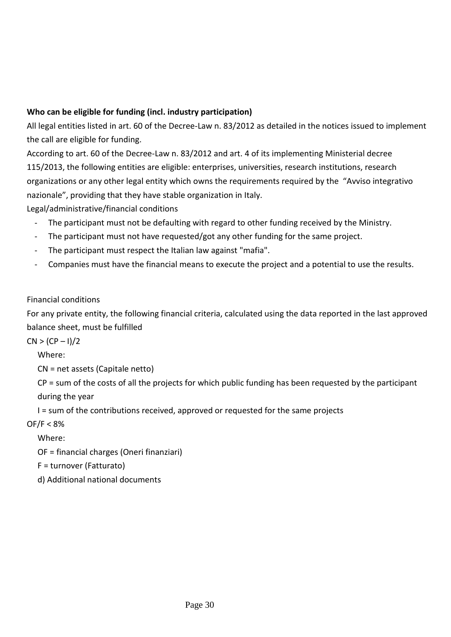### **Who can be eligible for funding (incl. industry participation)**

All legal entities listed in art. 60 of the Decree-Law n. 83/2012 as detailed in the notices issued to implement the call are eligible for funding.

According to art. 60 of the Decree-Law n. 83/2012 and art. 4 of its implementing Ministerial decree 115/2013, the following entities are eligible: enterprises, universities, research institutions, research organizations or any other legal entity which owns the requirements required by the "Avviso integrativo nazionale", providing that they have stable organization in Italy.

Legal/administrative/financial conditions

- The participant must not be defaulting with regard to other funding received by the Ministry.
- The participant must not have requested/got any other funding for the same project.
- The participant must respect the Italian law against "mafia".
- Companies must have the financial means to execute the project and a potential to use the results.

## Financial conditions

For any private entity, the following financial criteria, calculated using the data reported in the last approved balance sheet, must be fulfilled

 $CN > (CP - 1)/2$ 

Where:

CN = net assets (Capitale netto)

CP = sum of the costs of all the projects for which public funding has been requested by the participant during the year

I = sum of the contributions received, approved or requested for the same projects

OF/F < 8%

Where:

OF = financial charges (Oneri finanziari)

F = turnover (Fatturato)

d) Additional national documents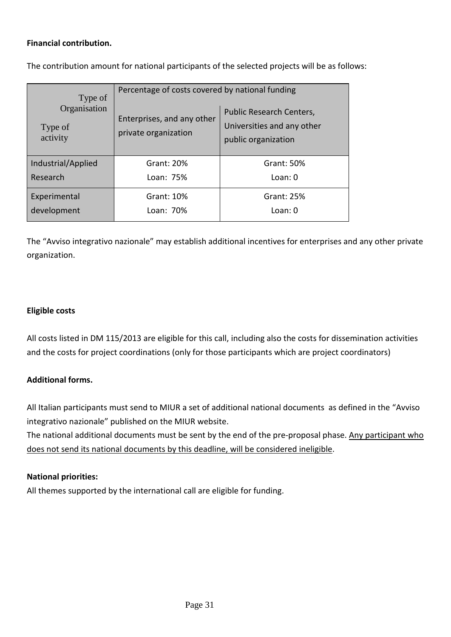### **Financial contribution.**

The contribution amount for national participants of the selected projects will be as follows:

| Type of<br>Organisation<br>Type of<br>activity | Percentage of costs covered by national funding    |                                                                               |  |  |
|------------------------------------------------|----------------------------------------------------|-------------------------------------------------------------------------------|--|--|
|                                                | Enterprises, and any other<br>private organization | Public Research Centers,<br>Universities and any other<br>public organization |  |  |
| Industrial/Applied                             | Grant: 20%                                         | Grant: 50%                                                                    |  |  |
| Research                                       | Loan: 75%                                          | Loan: 0                                                                       |  |  |
| Experimental                                   | Grant: 10%                                         | Grant: 25%                                                                    |  |  |
| development                                    | Loan: 70%                                          | Loan: 0                                                                       |  |  |

The "Avviso integrativo nazionale" may establish additional incentives for enterprises and any other private organization.

### **Eligible costs**

All costs listed in DM 115/2013 are eligible for this call, including also the costs for dissemination activities and the costs for project coordinations (only for those participants which are project coordinators)

### **Additional forms.**

All Italian participants must send to MIUR a set of additional national documents as defined in the "Avviso integrativo nazionale" published on the MIUR website.

The national additional documents must be sent by the end of the pre-proposal phase. Any participant who does not send its national documents by this deadline, will be considered ineligible.

### **National priorities:**

All themes supported by the international call are eligible for funding.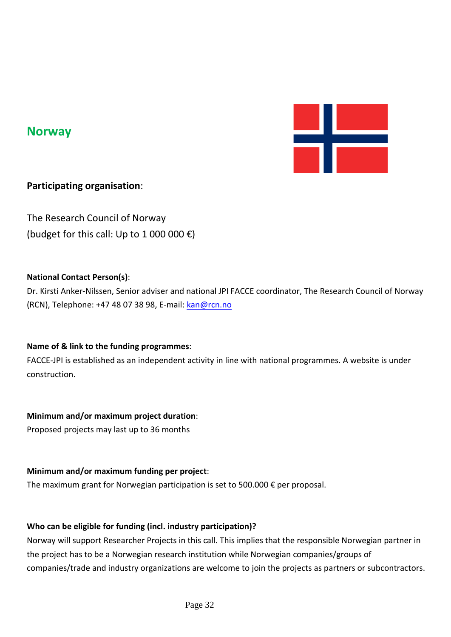

# **Norway**

## **Participating organisation**:

The Research Council of Norway (budget for this call: Up to 1 000 000  $\epsilon$ )

### **National Contact Person(s)**:

Dr. Kirsti Anker-Nilssen, Senior adviser and national JPI FACCE coordinator, The Research Council of Norway (RCN), Telephone: +47 48 07 38 98, E-mail: [kan@rcn.no](mailto:kan@rcn.no)

## **Name of & link to the funding programmes**:

FACCE-JPI is established as an independent activity in line with national programmes. A website is under construction.

## **Minimum and/or maximum project duration**:

Proposed projects may last up to 36 months

### **Minimum and/or maximum funding per project**:

The maximum grant for Norwegian participation is set to 500.000  $\epsilon$  per proposal.

### **Who can be eligible for funding (incl. industry participation)?**

Norway will support Researcher Projects in this call. This implies that the responsible Norwegian partner in the project has to be a Norwegian research institution while Norwegian companies/groups of companies/trade and industry organizations are welcome to join the projects as partners or subcontractors.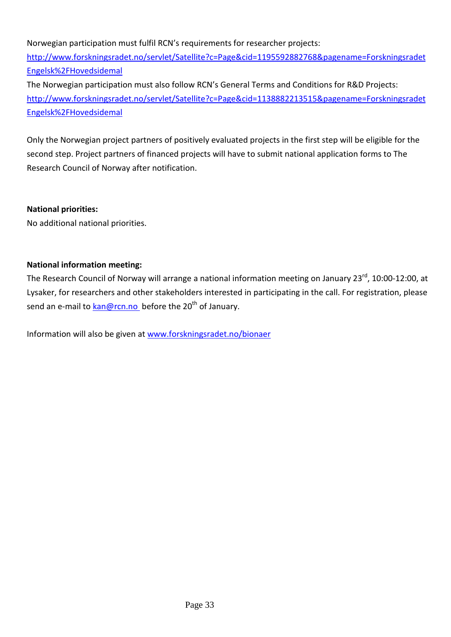Norwegian participation must fulfil RCN's requirements for researcher projects: [http://www.forskningsradet.no/servlet/Satellite?c=Page&cid=1195592882768&pagename=Forskningsradet](http://www.forskningsradet.no/servlet/Satellite?c=Page&cid=1195592882768&pagename=ForskningsradetEngelsk%2FHovedsidemal) [Engelsk%2FHovedsidemal](http://www.forskningsradet.no/servlet/Satellite?c=Page&cid=1195592882768&pagename=ForskningsradetEngelsk%2FHovedsidemal)

The Norwegian participation must also follow RCN's General Terms and Conditions for R&D Projects: [http://www.forskningsradet.no/servlet/Satellite?c=Page&cid=1138882213515&pagename=Forskningsradet](http://www.forskningsradet.no/servlet/Satellite?c=Page&cid=1138882213515&pagename=ForskningsradetEngelsk%2FHovedsidemal) [Engelsk%2FHovedsidemal](http://www.forskningsradet.no/servlet/Satellite?c=Page&cid=1138882213515&pagename=ForskningsradetEngelsk%2FHovedsidemal)

Only the Norwegian project partners of positively evaluated projects in the first step will be eligible for the second step. Project partners of financed projects will have to submit national application forms to The Research Council of Norway after notification.

### **National priorities:**

No additional national priorities.

### **National information meeting:**

The Research Council of Norway will arrange a national information meeting on January 23<sup>rd</sup>, 10:00-12:00, at Lysaker, for researchers and other stakeholders interested in participating in the call. For registration, please send an e-mail to [kan@rcn.no](mailto:kan@rcn.no) before the 20<sup>th</sup> of January.

Information will also be given at [www.forskningsradet.no/bionaer](http://www.forskningsradet.no/bionaer)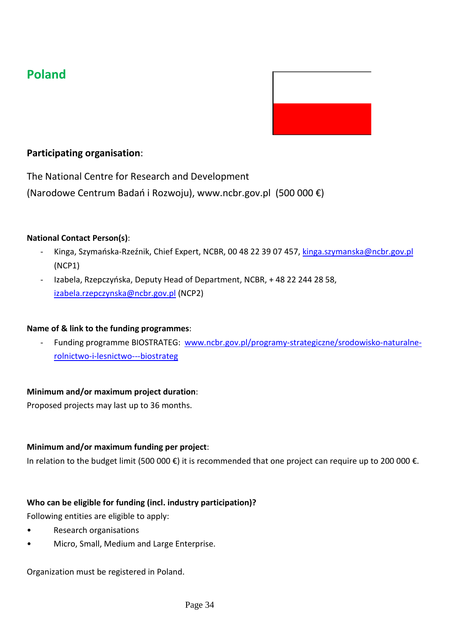# **Poland**



# **Participating organisation**:

The National Centre for Research and Development

(Narodowe Centrum Badań i Rozwoju), www.ncbr.gov.pl (500 000 €)

### **National Contact Person(s)**:

- Kinga, Szymańska-Rzeźnik, Chief Expert, NCBR, 00 48 22 39 07 457, [kinga.szymanska@ncbr.gov.pl](mailto:kinga.szymanska@ncbr.gov.pl) (NCP1)
- Izabela, Rzepczyńska, Deputy Head of Department, NCBR, + 48 22 244 28 58, [izabela.rzepczynska@ncbr.gov.pl](mailto:izabela.rzepczynska@ncbr.gov.pl) (NCP2)

### **Name of & link to the funding programmes**:

- Funding programme BIOSTRATEG: [www.ncbr.gov.pl/programy-strategiczne/srodowisko-naturalne](http://www.ncbr.gov.pl/programy-strategiczne/srodowisko-naturalne-rolnictwo-i-lesnictwo---biostrateg)[rolnictwo-i-lesnictwo---biostrateg](http://www.ncbr.gov.pl/programy-strategiczne/srodowisko-naturalne-rolnictwo-i-lesnictwo---biostrateg)

### **Minimum and/or maximum project duration**:

Proposed projects may last up to 36 months.

### **Minimum and/or maximum funding per project**:

In relation to the budget limit (500 000 €) it is recommended that one project can require up to 200 000 €.

## **Who can be eligible for funding (incl. industry participation)?**

Following entities are eligible to apply:

- Research organisations
- Micro, Small, Medium and Large Enterprise.

Organization must be registered in Poland.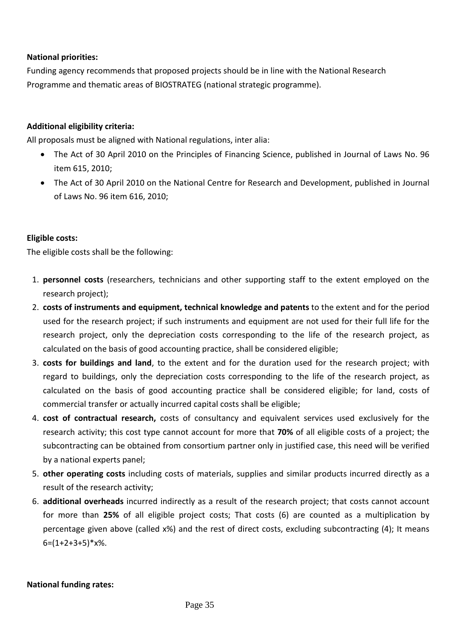### **National priorities:**

Funding agency recommends that proposed projects should be in line with the National Research Programme and thematic areas of BIOSTRATEG (national strategic programme).

### **Additional eligibility criteria:**

All proposals must be aligned with National regulations, inter alia:

- The Act of 30 April 2010 on the Principles of Financing Science, published in Journal of Laws No. 96 item 615, 2010;
- The Act of 30 April 2010 on the National Centre for Research and Development, published in Journal of Laws No. 96 item 616, 2010;

### **Eligible costs:**

The eligible costs shall be the following:

- 1. **personnel costs** (researchers, technicians and other supporting staff to the extent employed on the research project);
- 2. **costs of instruments and equipment, technical knowledge and patents** to the extent and for the period used for the research project; if such instruments and equipment are not used for their full life for the research project, only the depreciation costs corresponding to the life of the research project, as calculated on the basis of good accounting practice, shall be considered eligible;
- 3. **costs for buildings and land**, to the extent and for the duration used for the research project; with regard to buildings, only the depreciation costs corresponding to the life of the research project, as calculated on the basis of good accounting practice shall be considered eligible; for land, costs of commercial transfer or actually incurred capital costs shall be eligible;
- 4. **cost of contractual research,** costs of consultancy and equivalent services used exclusively for the research activity; this cost type cannot account for more that **70%** of all eligible costs of a project; the subcontracting can be obtained from consortium partner only in justified case, this need will be verified by a national experts panel;
- 5. **other operating costs** including costs of materials, supplies and similar products incurred directly as a result of the research activity;
- 6. **additional overheads** incurred indirectly as a result of the research project; that costs cannot account for more than **25%** of all eligible project costs; That costs (6) are counted as a multiplication by percentage given above (called x%) and the rest of direct costs, excluding subcontracting (4); It means  $6=(1+2+3+5)*x%$ .

#### **National funding rates:**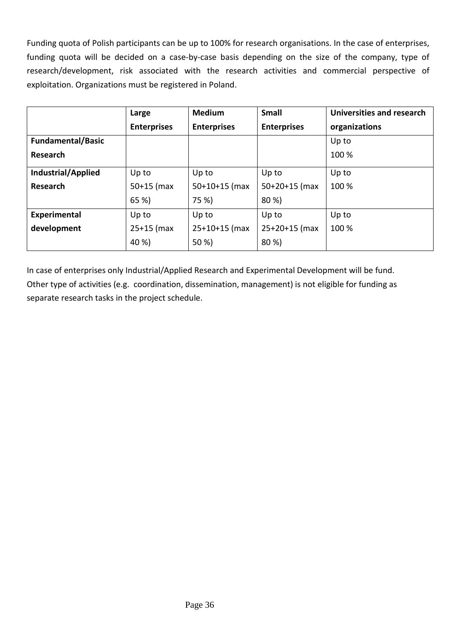Funding quota of Polish participants can be up to 100% for research organisations. In the case of enterprises, funding quota will be decided on a case-by-case basis depending on the size of the company, type of research/development, risk associated with the research activities and commercial perspective of exploitation. Organizations must be registered in Poland.

|                           | Large              | <b>Medium</b>      | <b>Small</b>       | Universities and research |
|---------------------------|--------------------|--------------------|--------------------|---------------------------|
|                           | <b>Enterprises</b> | <b>Enterprises</b> | <b>Enterprises</b> | organizations             |
| <b>Fundamental/Basic</b>  |                    |                    |                    | Up to                     |
| Research                  |                    |                    |                    | 100 %                     |
| <b>Industrial/Applied</b> | Up to              | Up to              | Up to              | Up to                     |
| Research                  | $50+15$ (max       | $50+10+15$ (max    | $50+20+15$ (max    | 100 %                     |
|                           | 65 %)              | 75 %)              | 80 %)              |                           |
| Experimental              | Up to              | Up to              | Up to              | Up to                     |
| development               | $25+15$ (max       | $25+10+15$ (max    | $25+20+15$ (max    | 100 %                     |
|                           | 40 %)              | 50 %)              | 80 %)              |                           |

In case of enterprises only Industrial/Applied Research and Experimental Development will be fund. Other type of activities (e.g. coordination, dissemination, management) is not eligible for funding as separate research tasks in the project schedule.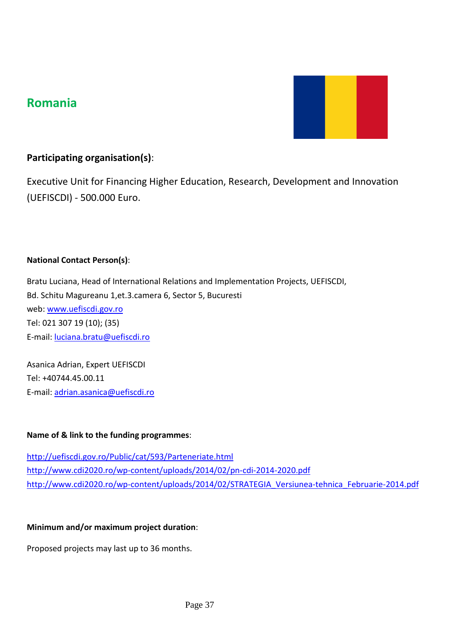# **Romania**



# **Participating organisation(s)**:

Executive Unit for Financing Higher Education, Research, Development and Innovation (UEFISCDI) - 500.000 Euro.

### **National Contact Person(s)**:

Bratu Luciana, Head of International Relations and Implementation Projects, UEFISCDI, Bd. Schitu Magureanu 1,et.3.camera 6, Sector 5, Bucuresti web: [www.uefiscdi.gov.ro](http://www.uefiscdi.gov.ro/) Tel: 021 307 19 (10); (35) E-mail[: luciana.bratu@uefiscdi.ro](mailto:luciana.bratu@uefiscdi.ro)

Asanica Adrian, Expert UEFISCDI Tel: +40744.45.00.11 E-mail[: adrian.asanica@uefiscdi.ro](mailto:adrian.asanica@uefiscdi.ro)

### **Name of & link to the funding programmes**:

<http://uefiscdi.gov.ro/Public/cat/593/Parteneriate.html> <http://www.cdi2020.ro/wp-content/uploads/2014/02/pn-cdi-2014-2020.pdf> [http://www.cdi2020.ro/wp-content/uploads/2014/02/STRATEGIA\\_Versiunea-tehnica\\_Februarie-2014.pdf](http://www.cdi2020.ro/wp-content/uploads/2014/02/STRATEGIA_Versiunea-tehnica_Februarie-2014.pdf)

### **Minimum and/or maximum project duration**:

Proposed projects may last up to 36 months.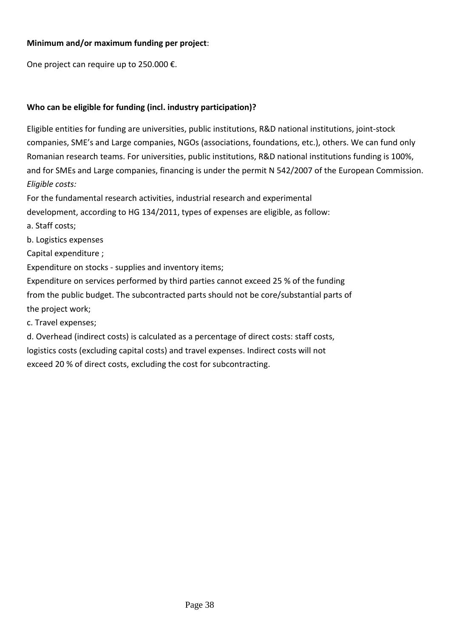### **Minimum and/or maximum funding per project**:

One project can require up to 250.000 €.

## **Who can be eligible for funding (incl. industry participation)?**

Eligible entities for funding are universities, public institutions, R&D national institutions, joint-stock companies, SME's and Large companies, NGOs (associations, foundations, etc.), others. We can fund only Romanian research teams. For universities, public institutions, R&D national institutions funding is 100%, and for SMEs and Large companies, financing is under the permit N 542/2007 of the European Commission. *Eligible costs:*

For the fundamental research activities, industrial research and experimental

development, according to HG 134/2011, types of expenses are eligible, as follow:

a. Staff costs;

b. Logistics expenses

Capital expenditure ;

Expenditure on stocks - supplies and inventory items;

Expenditure on services performed by third parties cannot exceed 25 % of the funding from the public budget. The subcontracted parts should not be core/substantial parts of the project work;

c. Travel expenses;

d. Overhead (indirect costs) is calculated as a percentage of direct costs: staff costs, logistics costs (excluding capital costs) and travel expenses. Indirect costs will not exceed 20 % of direct costs, excluding the cost for subcontracting.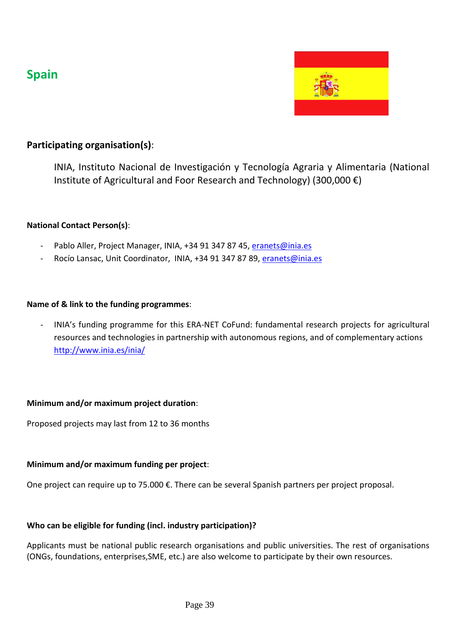# **Spain**



# **Participating organisation(s)**:

INIA, Instituto Nacional de Investigación y Tecnología Agraria y Alimentaria (National Institute of Agricultural and Foor Research and Technology) (300,000 €)

### **National Contact Person(s)**:

- Pablo Aller, Project Manager, INIA, +34 91 347 87 45, [eranets@inia.es](mailto:eranets@inia.es)
- Rocío Lansac, Unit Coordinator, INIA, +34 91 347 87 89, [eranets@inia.es](mailto:eranets@inia.es)

### **Name of & link to the funding programmes**:

- INIA's [funding programme for this ERA-NET CoFund: fundamental research projects for agricultural](http://www.idi.mineco.gob.es/portal/site/MICINN/menuitem.d20caeda35a0c5dc7c68b11001432ea0/?vgnextoid=551c282978ea0210VgnVCM1000001034e20aRCRD)  [resources and technologies in partnership with autonomous regions, and of complementary actions](http://www.idi.mineco.gob.es/portal/site/MICINN/menuitem.d20caeda35a0c5dc7c68b11001432ea0/?vgnextoid=551c282978ea0210VgnVCM1000001034e20aRCRD) <http://www.inia.es/inia/>

### **Minimum and/or maximum project duration**:

Proposed projects may last from 12 to 36 months

### **Minimum and/or maximum funding per project**:

One project can require up to 75.000 €. There can be several Spanish partners per project proposal.

### **Who can be eligible for funding (incl. industry participation)?**

Applicants must be national public research organisations and public universities. The rest of organisations (ONGs, foundations, enterprises,SME, etc.) are also welcome to participate by their own resources.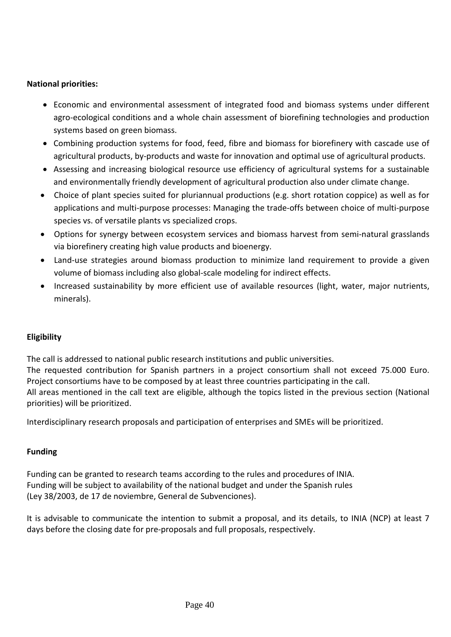### **National priorities:**

- Economic and environmental assessment of integrated food and biomass systems under different agro-ecological conditions and a whole chain assessment of biorefining technologies and production systems based on green biomass.
- Combining production systems for food, feed, fibre and biomass for biorefinery with cascade use of agricultural products, by-products and waste for innovation and optimal use of agricultural products.
- Assessing and increasing biological resource use efficiency of agricultural systems for a sustainable and environmentally friendly development of agricultural production also under climate change.
- Choice of plant species suited for pluriannual productions (e.g. short rotation coppice) as well as for applications and multi-purpose processes: Managing the trade-offs between choice of multi-purpose species vs. of versatile plants vs specialized crops.
- Options for synergy between ecosystem services and biomass harvest from semi-natural grasslands via biorefinery creating high value products and bioenergy.
- Land-use strategies around biomass production to minimize land requirement to provide a given volume of biomass including also global-scale modeling for indirect effects.
- Increased sustainability by more efficient use of available resources (light, water, major nutrients, minerals).

## **Eligibility**

The call is addressed to national public research institutions and public universities.

The requested contribution for Spanish partners in a project consortium shall not exceed 75.000 Euro. Project consortiums have to be composed by at least three countries participating in the call.

All areas mentioned in the call text are eligible, although the topics listed in the previous section (National priorities) will be prioritized.

Interdisciplinary research proposals and participation of enterprises and SMEs will be prioritized.

## **Funding**

Funding can be granted to research teams according to the rules and procedures of INIA. Funding will be subject to availability of the national budget and under the Spanish rules (Ley 38/2003, de 17 de noviembre, General de Subvenciones).

It is advisable to communicate the intention to submit a proposal, and its details, to INIA (NCP) at least 7 days before the closing date for pre-proposals and full proposals, respectively.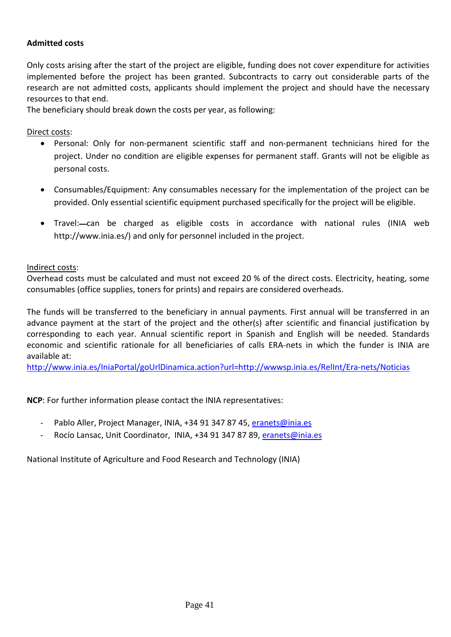### **Admitted costs**

Only costs arising after the start of the project are eligible, funding does not cover expenditure for activities implemented before the project has been granted. Subcontracts to carry out considerable parts of the research are not admitted costs, applicants should implement the project and should have the necessary resources to that end.

The beneficiary should break down the costs per year, as following:

Direct costs:

- Personal: Only for non-permanent scientific staff and non-permanent technicians hired for the project. Under no condition are eligible expenses for permanent staff. Grants will not be eligible as personal costs.
- Consumables/Equipment: Any consumables necessary for the implementation of the project can be provided. Only essential scientific equipment purchased specifically for the project will be eligible.
- Travel:—can be charged as eligible costs in accordance with national rules (INIA web http://www.inia.es/) and only for personnel included in the project.

Indirect costs:

Overhead costs must be calculated and must not exceed 20 % of the direct costs. Electricity, heating, some consumables (office supplies, toners for prints) and repairs are considered overheads.

The funds will be transferred to the beneficiary in annual payments. First annual will be transferred in an advance payment at the start of the project and the other(s) after scientific and financial justification by corresponding to each year. Annual scientific report in Spanish and English will be needed. Standards economic and scientific rationale for all beneficiaries of calls ERA-nets in which the funder is INIA are available at:

<http://www.inia.es/IniaPortal/goUrlDinamica.action?url=http://wwwsp.inia.es/RelInt/Era-nets/Noticias>

**NCP**: For further information please contact the INIA representatives:

- Pablo Aller, Project Manager, INIA, +34 91 347 87 45[, eranets@inia.es](mailto:eranets@inia.es)
- Rocío Lansac, Unit Coordinator, INIA, +34 91 347 87 89, [eranets@inia.es](mailto:eranets@inia.es)

National Institute of Agriculture and Food Research and Technology (INIA)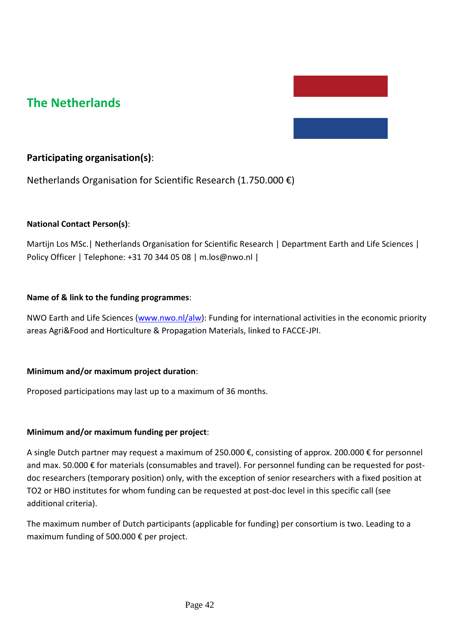# **The Netherlands**

## **Participating organisation(s)**:

Netherlands Organisation for Scientific Research (1.750.000 €)

### **National Contact Person(s)**:

Martijn Los MSc.| Netherlands Organisation for Scientific Research | Department Earth and Life Sciences | Policy Officer | Telephone: +31 70 344 05 08 | m.los@nwo.nl |

#### **Name of & link to the funding programmes**:

NWO Earth and Life Sciences [\(www.nwo.nl/alw\)](http://www.nwo.nl/alw): Funding for international activities in the economic priority areas Agri&Food and Horticulture & Propagation Materials, linked to FACCE-JPI.

#### **Minimum and/or maximum project duration**:

Proposed participations may last up to a maximum of 36 months.

#### **Minimum and/or maximum funding per project**:

A single Dutch partner may request a maximum of 250.000 €, consisting of approx. 200.000 € for personnel and max. 50.000 € for materials (consumables and travel). For personnel funding can be requested for postdoc researchers (temporary position) only, with the exception of senior researchers with a fixed position at TO2 or HBO institutes for whom funding can be requested at post-doc level in this specific call (see additional criteria).

The maximum number of Dutch participants (applicable for funding) per consortium is two. Leading to a maximum funding of 500.000 € per project.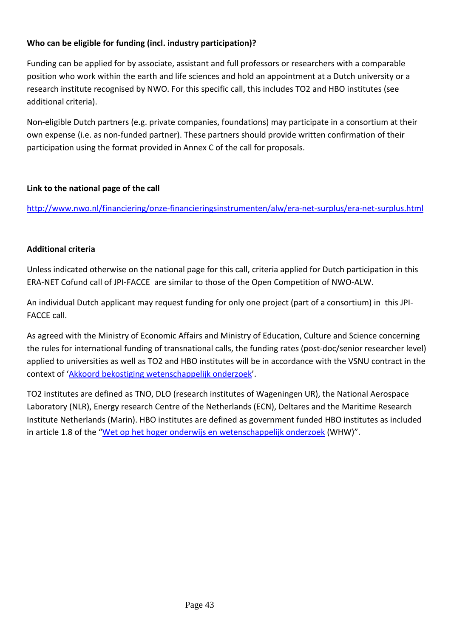## **Who can be eligible for funding (incl. industry participation)?**

Funding can be applied for by associate, assistant and full professors or researchers with a comparable position who work within the earth and life sciences and hold an appointment at a Dutch university or a research institute recognised by NWO. For this specific call, this includes TO2 and HBO institutes (see additional criteria).

Non-eligible Dutch partners (e.g. private companies, foundations) may participate in a consortium at their own expense (i.e. as non-funded partner). These partners should provide written confirmation of their participation using the format provided in Annex C of the call for proposals.

## **Link to the national page of the call**

<http://www.nwo.nl/financiering/onze-financieringsinstrumenten/alw/era-net-surplus/era-net-surplus.html>

### **Additional criteria**

Unless indicated otherwise on the national page for this call, criteria applied for Dutch participation in this ERA-NET Cofund call of JPI-FACCE are similar to those of the Open Competition of NWO-ALW.

An individual Dutch applicant may request funding for only one project (part of a consortium) in this JPI-FACCE call.

As agreed with the Ministry of Economic Affairs and Ministry of Education, Culture and Science concerning the rules for international funding of transnational calls, the funding rates (post-doc/senior researcher level) applied to universities as well as TO2 and HBO institutes will be in accordance with the VSNU contract in the context of ['Akkoord bekostiging wetenschappelijk onderzoek'](http://www.nwo.nl/financiering/hoe-werkt-dat/Salaristabellen).

TO2 institutes are defined as TNO, DLO (research institutes of Wageningen UR), the National Aerospace Laboratory (NLR), Energy research Centre of the Netherlands (ECN), Deltares and the Maritime Research Institute Netherlands (Marin). HBO institutes are defined as government funded HBO institutes as included in article 1.8 of the ["Wet op het hoger onderwijs en wetenschappelijk onderzoek](http://wetten.overheid.nl/BWBR0005682/geldigheidsdatum_11-11-2014) (WHW)".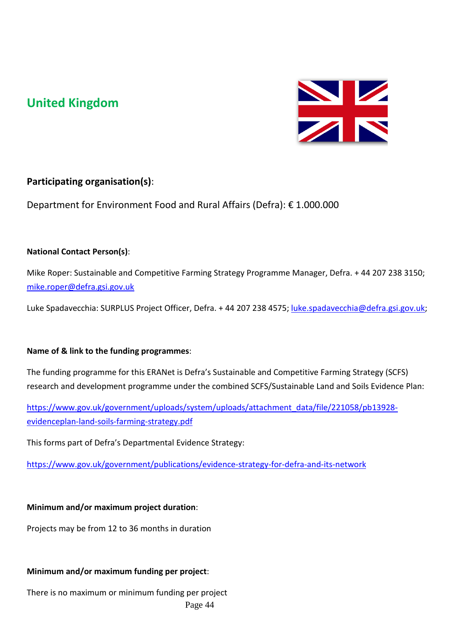# **United Kingdom**



# **Participating organisation(s)**:

Department for Environment Food and Rural Affairs (Defra): € 1.000.000

## **National Contact Person(s)**:

Mike Roper: Sustainable and Competitive Farming Strategy Programme Manager, Defra. + 44 207 238 3150; [mike.roper@defra.gsi.gov.uk](mailto:mike.roper@defra.gsi.gov.uk)

Luke Spadavecchia: SURPLUS Project Officer, Defra. + 44 207 238 4575; [luke.spadavecchia@defra.gsi.gov.uk;](mailto:luke.spadavecchia@defra.gsi.gov.uk)

## **Name of & link to the funding programmes**:

The funding programme for this ERANet is Defra's Sustainable and Competitive Farming Strategy (SCFS) research and development programme under the combined SCFS/Sustainable Land and Soils Evidence Plan:

[https://www.gov.uk/government/uploads/system/uploads/attachment\\_data/file/221058/pb13928](https://www.gov.uk/government/uploads/system/uploads/attachment_data/file/221058/pb13928-evidenceplan-land-soils-farming-strategy.pdf) [evidenceplan-land-soils-farming-strategy.pdf](https://www.gov.uk/government/uploads/system/uploads/attachment_data/file/221058/pb13928-evidenceplan-land-soils-farming-strategy.pdf)

This forms part of Defra's Departmental Evidence Strategy:

<https://www.gov.uk/government/publications/evidence-strategy-for-defra-and-its-network>

## **Minimum and/or maximum project duration**:

Projects may be from 12 to 36 months in duration

## **Minimum and/or maximum funding per project**:

There is no maximum or minimum funding per project Page 44